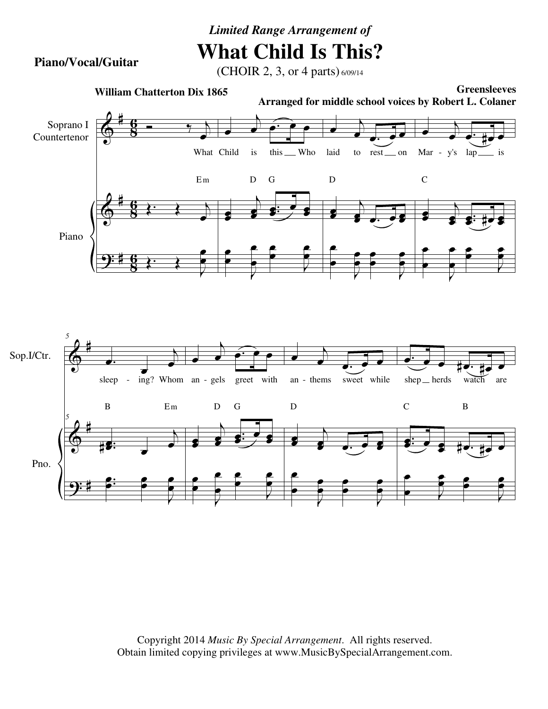## *Limited Range Arrangement of* **What Child Is This?**

**Piano/Vocal/Guitar**

## (CHOIR 2, 3, or 4 parts) 6/09/14



Copyright 2014 *Music By Special Arrangement*. All rights reserved. Obtain limited copying privileges at www.MusicBySpecialArrangement.com.